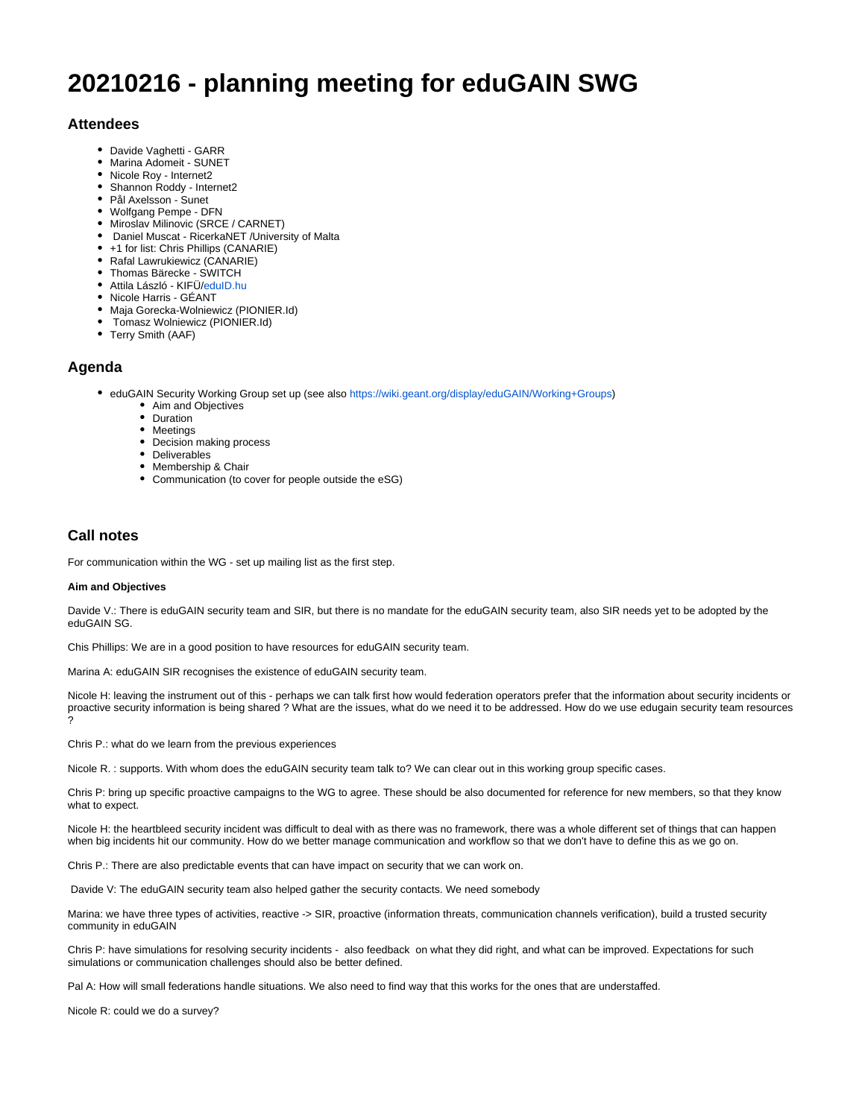# **20210216 - planning meeting for eduGAIN SWG**

## **Attendees**

- Davide Vaghetti GARR
- Marina Adomeit SUNET
- Nicole Roy Internet2
- Shannon Roddy Internet2
- Pål Axelsson Sunet
- Wolfgang Pempe DFN
- Miroslav Milinovic (SRCE / CARNET)
- Daniel Muscat RicerkaNET /University of Malta
- +1 for list: Chris Phillips (CANARIE)
- Rafal Lawrukiewicz (CANARIE)
- Thomas Bärecke SWITCH
- Attila László KIFÜ[/eduID.hu](http://eduID.hu)
- Nicole Harris GÉANT
- Maja Gorecka-Wolniewicz (PIONIER.Id)
- Tomasz Wolniewicz (PIONIER.Id)
- Terry Smith (AAF)

## **Agenda**

- eduGAIN Security Working Group set up (see also <https://wiki.geant.org/display/eduGAIN/Working+Groups>)
	- Aim and Objectives
	- Duration
	- Meetings
	- Decision making process
	- Deliverables
	- Membership & Chair
	- Communication (to cover for people outside the eSG)

# **Call notes**

For communication within the WG - set up mailing list as the first step.

### **Aim and Objectives**

Davide V.: There is eduGAIN security team and SIR, but there is no mandate for the eduGAIN security team, also SIR needs yet to be adopted by the eduGAIN SG.

Chis Phillips: We are in a good position to have resources for eduGAIN security team.

Marina A: eduGAIN SIR recognises the existence of eduGAIN security team.

Nicole H: leaving the instrument out of this - perhaps we can talk first how would federation operators prefer that the information about security incidents or proactive security information is being shared ? What are the issues, what do we need it to be addressed. How do we use edugain security team resources ?

Chris P.: what do we learn from the previous experiences

Nicole R. : supports. With whom does the eduGAIN security team talk to? We can clear out in this working group specific cases.

Chris P: bring up specific proactive campaigns to the WG to agree. These should be also documented for reference for new members, so that they know what to expect.

Nicole H: the heartbleed security incident was difficult to deal with as there was no framework, there was a whole different set of things that can happen when big incidents hit our community. How do we better manage communication and workflow so that we don't have to define this as we go on.

Chris P.: There are also predictable events that can have impact on security that we can work on.

Davide V: The eduGAIN security team also helped gather the security contacts. We need somebody

Marina: we have three types of activities, reactive -> SIR, proactive (information threats, communication channels verification), build a trusted security community in eduGAIN

Chris P: have simulations for resolving security incidents - also feedback on what they did right, and what can be improved. Expectations for such simulations or communication challenges should also be better defined.

Pal A: How will small federations handle situations. We also need to find way that this works for the ones that are understaffed.

Nicole R: could we do a survey?